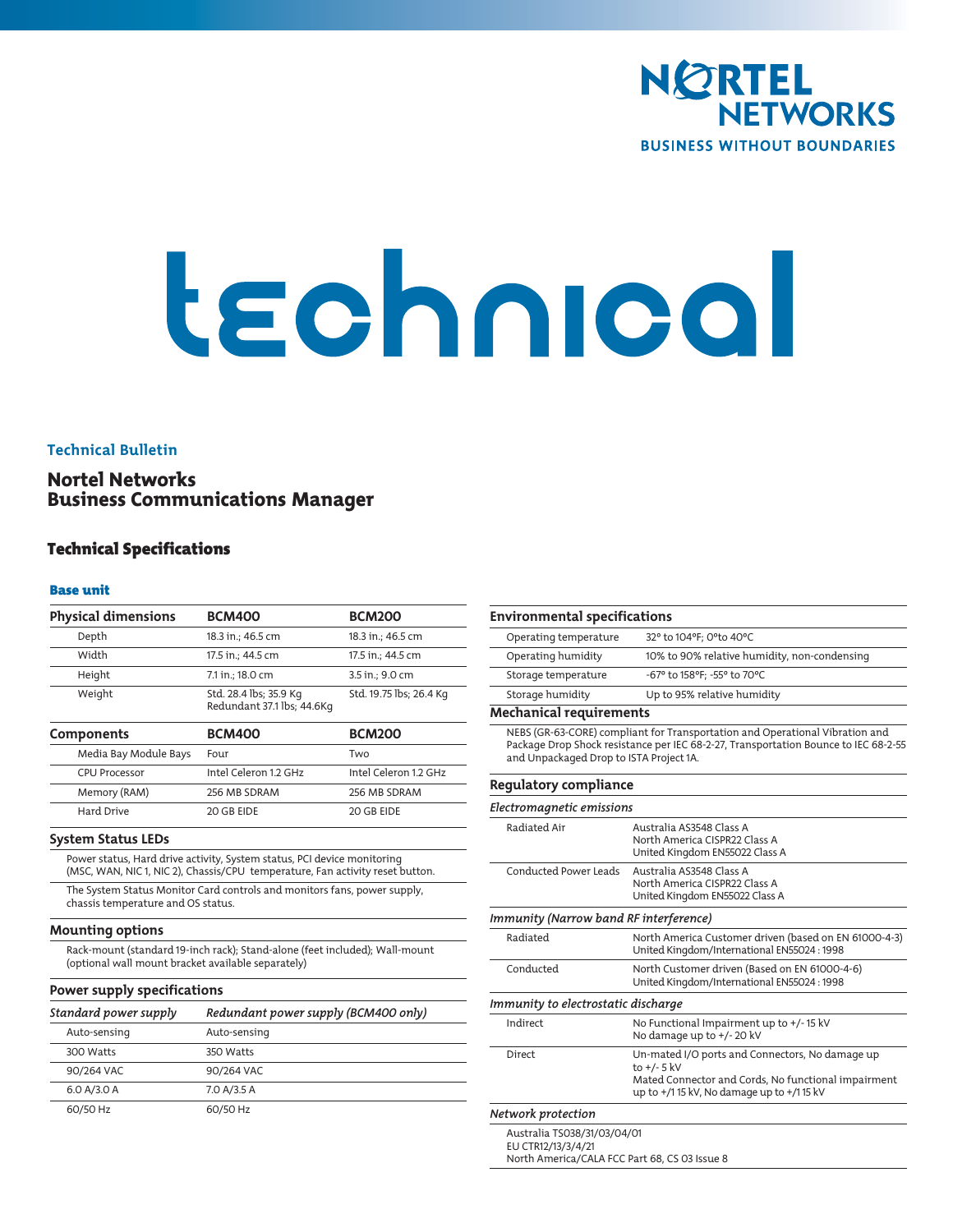

# technical

## **Technical Bulletin**

# Nortel Networks Business Communications Manager

# Technical Specifications

## Base unit

| <b>Physical dimensions</b>                                           | <b>BCM400</b>                                                                                                                                            | <b>BCM200</b>           |
|----------------------------------------------------------------------|----------------------------------------------------------------------------------------------------------------------------------------------------------|-------------------------|
| Depth                                                                | 18.3 in.; 46.5 cm                                                                                                                                        | 18.3 in.; 46.5 cm       |
| Width                                                                | 17.5 in.; 44.5 cm                                                                                                                                        | 17.5 in.: 44.5 cm       |
|                                                                      |                                                                                                                                                          |                         |
| Height                                                               | 7.1 in.; 18.0 cm                                                                                                                                         | 3.5 in.; 9.0 cm         |
| Weight                                                               | Std. 28.4 lbs; 35.9 Kg<br>Redundant 37.1 lbs; 44.6Kg                                                                                                     | Std. 19.75 lbs; 26.4 Kg |
| Components                                                           | <b>BCM400</b>                                                                                                                                            | <b>BCM200</b>           |
| Media Bay Module Bays                                                | Four                                                                                                                                                     | Two                     |
| <b>CPU Processor</b>                                                 | Intel Celeron 1.2 GHz                                                                                                                                    | Intel Celeron 1.2 GHz   |
| Memory (RAM)                                                         | 256 MB SDRAM                                                                                                                                             | 256 MB SDRAM            |
| Hard Drive                                                           | 20 GB EIDE                                                                                                                                               | 20 GB EIDE              |
| <b>System Status LEDs</b>                                            |                                                                                                                                                          |                         |
|                                                                      | Power status, Hard drive activity, System status, PCI device monitoring<br>(MSC, WAN, NIC 1, NIC 2), Chassis/CPU temperature, Fan activity reset button. |                         |
| chassis temperature and OS status.                                   | The System Status Monitor Card controls and monitors fans, power supply,                                                                                 |                         |
| <b>Mounting options</b>                                              |                                                                                                                                                          |                         |
|                                                                      |                                                                                                                                                          |                         |
| (optional wall mount bracket available separately)                   | Rack-mount (standard 19-inch rack); Stand-alone (feet included); Wall-mount                                                                              |                         |
|                                                                      |                                                                                                                                                          |                         |
|                                                                      | Redundant power supply (BCM400 only)                                                                                                                     |                         |
| Power supply specifications<br>Standard power supply<br>Auto-sensing | Auto-sensing                                                                                                                                             |                         |
| 300 Watts                                                            | 350 Watts                                                                                                                                                |                         |
| 90/264 VAC                                                           | 90/264 VAC                                                                                                                                               |                         |
| 6.0 A/3.0 A                                                          | 7.0 A/3.5 A                                                                                                                                              |                         |

| <b>Environmental specifications</b>     |                                                                                                                                                                           |
|-----------------------------------------|---------------------------------------------------------------------------------------------------------------------------------------------------------------------------|
| Operating temperature                   | 32° to 104°F; O°to 40°C                                                                                                                                                   |
| Operating humidity                      | 10% to 90% relative humidity, non-condensing                                                                                                                              |
| Storage temperature                     | -67° to 158°F; -55° to 70°C                                                                                                                                               |
| Storage humidity                        | Up to 95% relative humidity                                                                                                                                               |
| <b>Mechanical requirements</b>          |                                                                                                                                                                           |
| and Unpackaged Drop to ISTA Project 1A. | NEBS (GR-63-CORE) compliant for Transportation and Operational Vibration and<br>Package Drop Shock resistance per IEC 68-2-27, Transportation Bounce to IEC 68-2-55       |
| Regulatory compliance                   |                                                                                                                                                                           |
| Electromagnetic emissions               |                                                                                                                                                                           |
| Radiated Air                            | Australia AS3548 Class A<br>North America CISPR22 Class A<br>United Kingdom EN55022 Class A                                                                               |
| <b>Conducted Power Leads</b>            | Australia AS3548 Class A<br>North America CISPR22 Class A<br>United Kingdom EN55022 Class A                                                                               |
| Immunity (Narrow band RF interference)  |                                                                                                                                                                           |
| Radiated                                | North America Customer driven (based on EN 61000-4-3)<br>United Kingdom/International EN55024: 1998                                                                       |
| Conducted                               | North Customer driven (Based on EN 61000-4-6)<br>United Kingdom/International EN55024: 1998                                                                               |
| Immunity to electrostatic discharge     |                                                                                                                                                                           |
| Indirect                                | No Functional Impairment up to +/-15 kV<br>No damage up to +/- 20 kV                                                                                                      |
| <b>Direct</b>                           | Un-mated I/O ports and Connectors, No damage up<br>to $+/- 5$ kV<br>Mated Connector and Cords, No functional impairment<br>up to $+/1$ 15 kV, No damage up to $+/1$ 15 kV |
| Network protection                      |                                                                                                                                                                           |
| Australia TS038/31/03/04/01             |                                                                                                                                                                           |

EU CTR12/13/3/4/21 North America/CALA FCC Part 68, CS 03 Issue 8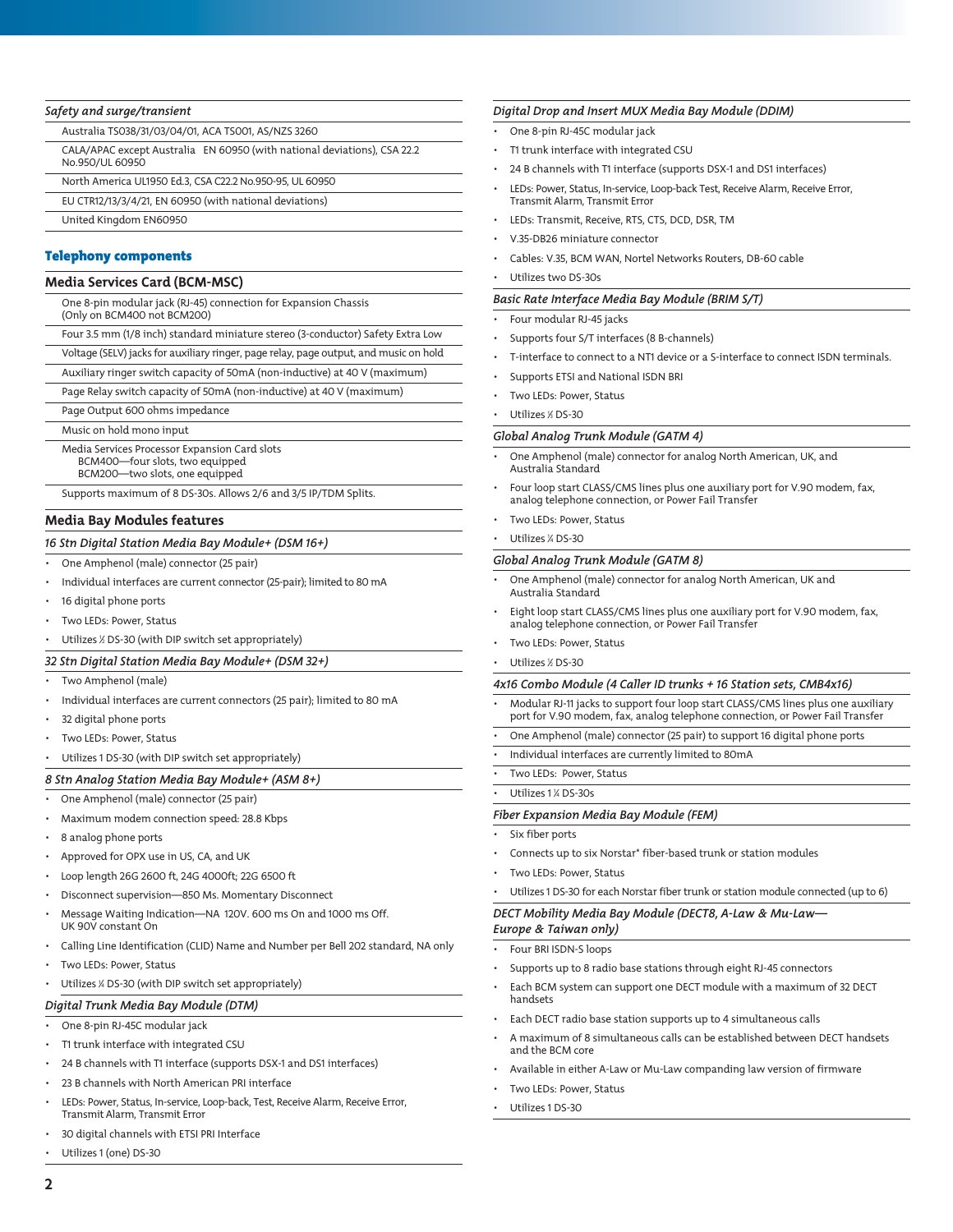## *Safety and surge/transient*

Australia TS038/31/03/04/01, ACA TS001, AS/NZS 3260

- CALA/APAC except Australia EN 60950 (with national deviations), CSA 22.2 No.950/UL 60950
- North America UL1950 Ed.3, CSA C22.2 No.950-95, UL 60950
- EU CTR12/13/3/4/21, EN 60950 (with national deviations)
- United Kingdom EN60950

## Telephony components

## **Media Services Card (BCM-MSC)**

| One 8-pin modular jack (RJ-45) connection for Expansion Chassis |  |
|-----------------------------------------------------------------|--|
| (Only on BCM400 not BCM200)                                     |  |

Four 3.5 mm (1/8 inch) standard miniature stereo (3-conductor) Safety Extra Low

- Voltage (SELV) jacks for auxiliary ringer, page relay, page output, and music on hold
- Auxiliary ringer switch capacity of 50mA (non-inductive) at 40 V (maximum)
- Page Relay switch capacity of 50mA (non-inductive) at 40 V (maximum)
- Page Output 600 ohms impedance
- Music on hold mono input
- Media Services Processor Expansion Card slots
	- BCM400—four slots, two equipped BCM200—two slots, one equipped
	-

Supports maximum of 8 DS-30s. Allows 2/6 and 3/5 IP/TDM Splits.

## **Media Bay Modules features**

#### *16 Stn Digital Station Media Bay Module+ (DSM 16+)*

- One Amphenol (male) connector (25 pair)
- Individual interfaces are current connector (25-pair); limited to 80 mA
- 16 digital phone ports
- Two LEDs: Power, Status
- Utilizes ½ DS-30 (with DIP switch set appropriately)
- *32 Stn Digital Station Media Bay Module+ (DSM 32+)*
- Two Amphenol (male)
- Individual interfaces are current connectors (25 pair); limited to 80 mA
- 32 digital phone ports
- Two LEDs: Power, Status
- Utilizes 1 DS-30 (with DIP switch set appropriately)

#### *8 Stn Analog Station Media Bay Module+ (ASM 8+)*

- One Amphenol (male) connector (25 pair)
- Maximum modem connection speed: 28.8 Kbps
- 8 analog phone ports
- Approved for OPX use in US, CA, and UK
- Loop length 26G 2600 ft, 24G 4000ft; 22G 6500 ft
- Disconnect supervision—850 Ms. Momentary Disconnect
- Message Waiting Indication—NA 120V. 600 ms On and 1000 ms Off. UK 90V constant On
- Calling Line Identification (CLID) Name and Number per Bell 202 standard, NA only
- Two LEDs: Power, Status
- Utilizes 1 ⁄4 DS-30 (with DIP switch set appropriately)

## *Digital Trunk Media Bay Module (DTM)*

• One 8-pin RJ-45C modular jack

- T1 trunk interface with integrated CSU
- 24 B channels with T1 interface (supports DSX-1 and DS1 interfaces)
- 23 B channels with North American PRI interface
- LEDs: Power, Status, In-service, Loop-back, Test, Receive Alarm, Receive Error, Transmit Alarm, Transmit Error
- 30 digital channels with ETSI PRI Interface
- Utilizes 1 (one) DS-30

#### *Digital Drop and Insert MUX Media Bay Module (DDIM)*

- One 8-pin RJ-45C modular jack
- T1 trunk interface with integrated CSU
- 24 B channels with T1 interface (supports DSX-1 and DS1 interfaces)
- LEDs: Power, Status, In-service, Loop-back Test, Receive Alarm, Receive Error, Transmit Alarm, Transmit Error
- LEDs: Transmit, Receive, RTS, CTS, DCD, DSR, TM
- V.35-DB26 miniature connector
- Cables: V.35, BCM WAN, Nortel Networks Routers, DB-60 cable
- Utilizes two DS-30s

#### *Basic Rate Interface Media Bay Module (BRIM S/T)*

- Four modular RJ-45 jacks
- Supports four S/T interfaces (8 B-channels)
- T-interface to connect to a NT1 device or a S-interface to connect ISDN terminals.
- Supports ETSI and National ISDN BRI
- Two LEDs: Power, Status
- Utilizes *%* DS-30

#### *Global Analog Trunk Module (GATM 4)*

- One Amphenol (male) connector for analog North American, UK, and Australia Standard
- Four loop start CLASS/CMS lines plus one auxiliary port for V.90 modem, fax, analog telephone connection, or Power Fail Transfer
- Two LEDs: Power, Status
- Utilizes ¼ DS-30

## *Global Analog Trunk Module (GATM 8)*

- One Amphenol (male) connector for analog North American, UK and Australia Standard
- Eight loop start CLASS/CMS lines plus one auxiliary port for V.90 modem, fax, analog telephone connection, or Power Fail Transfer
- Two LEDs: Power, Status
- Utilizes  $\times$  DS-30

#### *4x16 Combo Module (4 Caller ID trunks + 16 Station sets, CMB4x16)*

- Modular RJ-11 jacks to support four loop start CLASS/CMS lines plus one auxiliary port for V.90 modem, fax, analog telephone connection, or Power Fail Transfer
- One Amphenol (male) connector (25 pair) to support 16 digital phone ports
- Individual interfaces are currently limited to 80mA
- Two LEDs: Power, Status
- $\cdot$  Utilizes 1  $\frac{1}{4}$  DS-30s

## *Fiber Expansion Media Bay Module (FEM)*

- Six fiber ports
- Connects up to six Norstar\* fiber-based trunk or station modules
- Two LEDs: Power, Status
- Utilizes 1 DS-30 for each Norstar fiber trunk or station module connected (up to 6)

## *DECT Mobility Media Bay Module (DECT8, A-Law & Mu-Law—*

- *Europe & Taiwan only)* Four BRI ISDN-S loops
- Supports up to 8 radio base stations through eight RJ-45 connectors
- Each BCM system can support one DECT module with a maximum of 32 DECT handsets
- Each DECT radio base station supports up to 4 simultaneous calls
- A maximum of 8 simultaneous calls can be established between DECT handsets and the BCM core
- Available in either A-Law or Mu-Law companding law version of firmware
- Two LEDs: Power, Status
- Utilizes 1 DS-30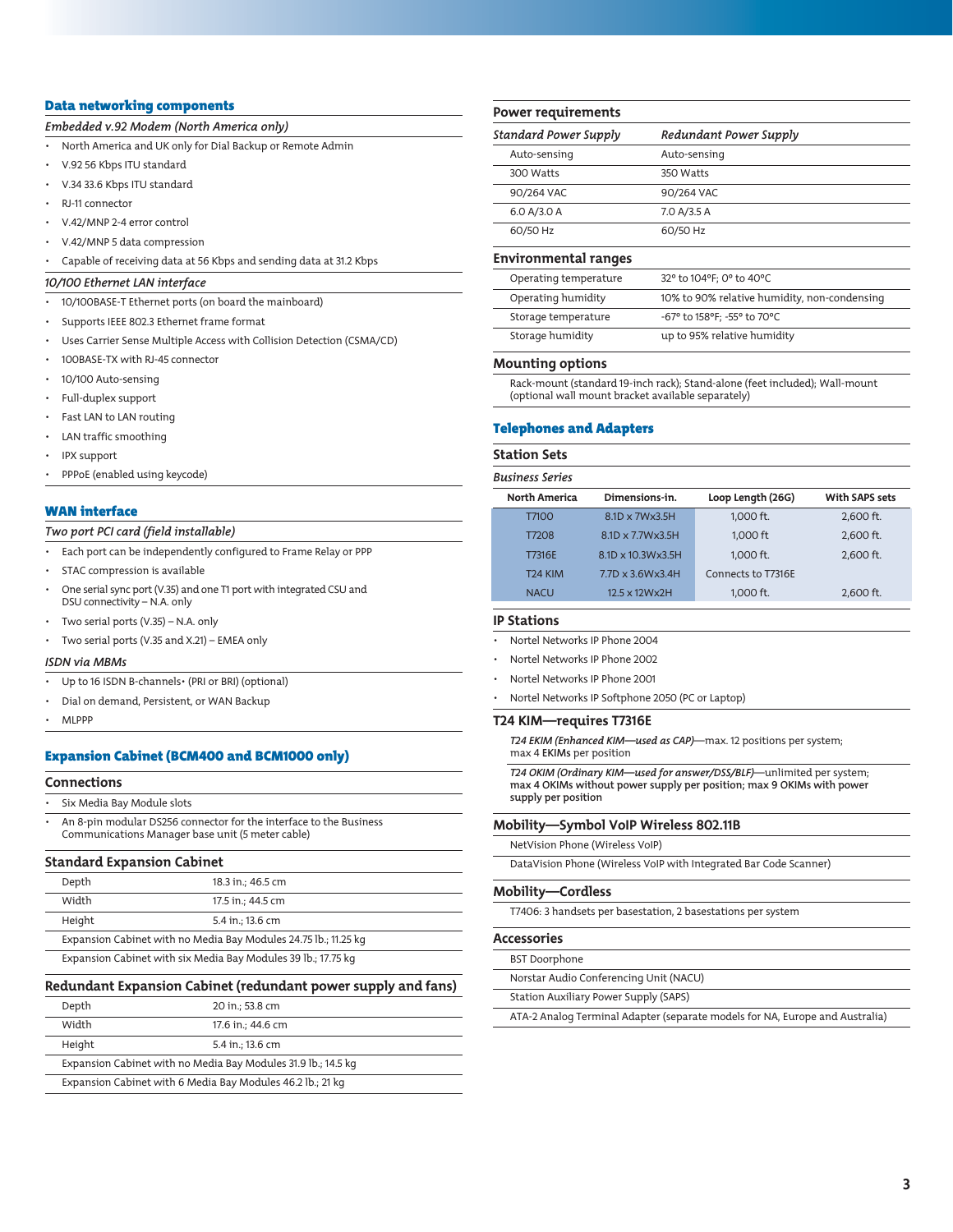## Data networking components

*Embedded v.92 Modem (North America only)*

• North America and UK only for Dial Backup or Remote Admin

- V.92 56 Kbps ITU standard
- V.34 33.6 Kbps ITU standard
- RJ-11 connector
- V.42/MNP 2-4 error control
- V.42/MNP 5 data compression
- Capable of receiving data at 56 Kbps and sending data at 31.2 Kbps

#### *10/100 Ethernet LAN interface*

- 10/100BASE-T Ethernet ports (on board the mainboard)
- Supports IEEE 802.3 Ethernet frame format
- Uses Carrier Sense Multiple Access with Collision Detection (CSMA/CD)
- 100BASE-TX with RJ-45 connector
- 10/100 Auto-sensing
- Full-duplex support
- Fast LAN to LAN routing
- LAN traffic smoothing
- IPX support
- PPPoE (enabled using keycode)

## WAN interface

## *Two port PCI card (field installable)*

• Each port can be independently configured to Frame Relay or PPP

- STAC compression is available
- One serial sync port (V.35) and one T1 port with integrated CSU and DSU connectivity – N.A. only
- Two serial ports (V.35) N.A. only
- Two serial ports (V.35 and X.21) EMEA only

## *ISDN via MBMs*

- Up to 16 ISDN B-channels• (PRI or BRI) (optional)
- Dial on demand, Persistent, or WAN Backup
- MLPPP

## Expansion Cabinet (BCM400 and BCM1000 only)

#### **Connections**

• Six Media Bay Module slots

• An 8-pin modular DS256 connector for the interface to the Business Communications Manager base unit (5 meter cable)

## **Standard Expansion Cabinet**

| Depth                                                           |  | 18.3 in.; 46.5 cm |
|-----------------------------------------------------------------|--|-------------------|
| Width                                                           |  | 17.5 in.; 44.5 cm |
| Height                                                          |  | 5.4 in.: 13.6 cm  |
| Expansion Cabinet with no Media Bay Modules 24.75 lb.; 11.25 kg |  |                   |
| Expansion Cabinet with six Media Bay Modules 39 lb.; 17.75 kg   |  |                   |

#### **Redundant Expansion Cabinet (redundant power supply and fans)**

| Depth                                                         | 20 in.; 53.8 cm   |  |
|---------------------------------------------------------------|-------------------|--|
| Width                                                         | 17.6 in.; 44.6 cm |  |
| Height                                                        | 5.4 in.; 13.6 cm  |  |
| Expansion Cabinet with no Media Bay Modules 31.9 lb.; 14.5 kg |                   |  |
| Expansion Cabinet with 6 Media Bay Modules 46.2 lb.; 21 kg    |                   |  |

#### **Power requirements**

| Standard Power Supply | Redundant Power Supply |
|-----------------------|------------------------|
| Auto-sensing          | Auto-sensing           |
| 300 Watts             | 350 Watts              |
| 90/264 VAC            | 90/264 VAC             |
| 6.0 A/3.0 A           | 7.0 A/3.5 A            |
| 60/50 Hz              | 60/50 Hz               |

## **Environmental ranges**

| Operating temperature | 32° to 104°F; 0° to 40°C                     |
|-----------------------|----------------------------------------------|
| Operating humidity    | 10% to 90% relative humidity, non-condensing |
| Storage temperature   | -67° to 158°F; -55° to 70°C                  |
| Storage humidity      | up to 95% relative humidity                  |

#### **Mounting options**

Rack-mount (standard 19-inch rack); Stand-alone (feet included); Wall-mount (optional wall mount bracket available separately)

#### Telephones and Adapters

#### **Station Sets**

# *Business Series* **North America Dimensions-in. Loop Length (26G) With SAPS sets** T7100 8.1D x 7W x 3.5H 1,000 ft. 2,600 ft. T7208 8.1D x 7.7Wx3.5H 1,000 ft 2,600 ft. T7316E 8.1D x 10.3Wx3.5H 1,000 ft. 2,600 ft. T24 KIM 7.7D x 3.6Wx3.4H Connects to T7316E NACU 12.5 x 12Wx2H 1,000 ft. 2,600 ft.

## **IP Stations**

- Nortel Networks IP Phone 2004
- Nortel Networks IP Phone 2002
- Nortel Networks IP Phone 2001
- Nortel Networks IP Softphone 2050 (PC or Laptop)

#### **T24 KIM—requires T7316E**

*T24 EKIM (Enhanced KIM—used as CAP)*—max. 12 positions per system; max 4 EKIMs per position

*T24 OKIM (Ordinary KIM—used for answer/DSS/BLF)*—unlimited per system; max 4 OKIMs without power supply per position; max 9 OKIMs with power supply per position

#### **Mobility—Symbol VoIP Wireless 802.11B**

NetVision Phone (Wireless VoIP)

DataVision Phone (Wireless VoIP with Integrated Bar Code Scanner)

## **Mobility—Cordless**

T7406: 3 handsets per basestation, 2 basestations per system

#### **Accessories**

BST Doorphone

Norstar Audio Conferencing Unit (NACU)

Station Auxiliary Power Supply (SAPS)

ATA-2 Analog Terminal Adapter (separate models for NA, Europe and Australia)